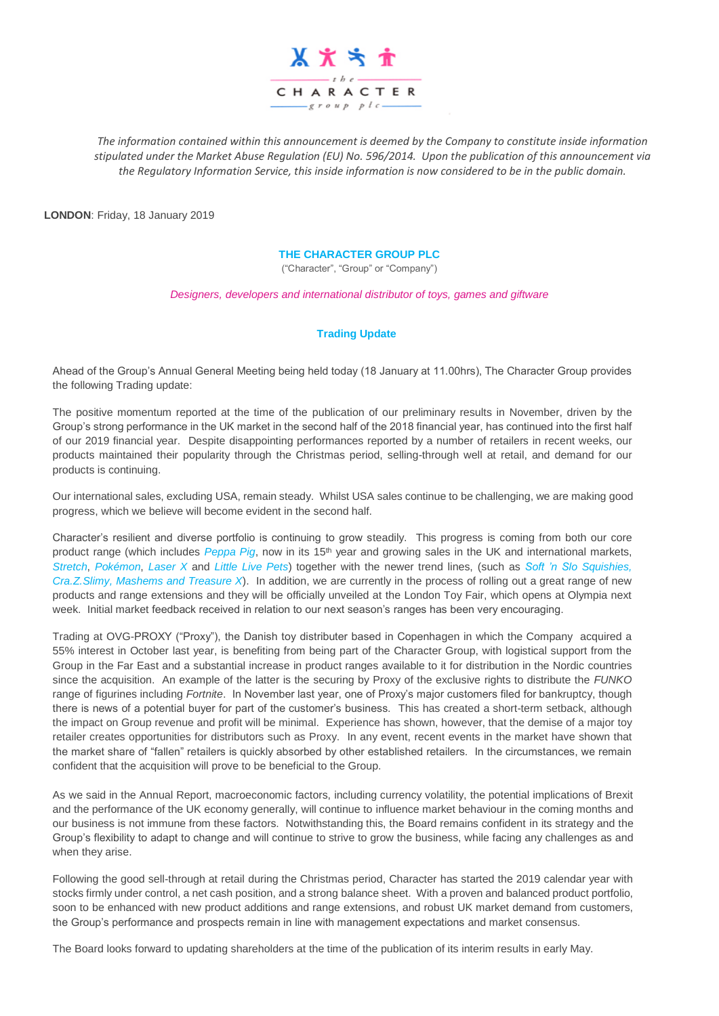

*The information contained within this announcement is deemed by the Company to constitute inside information stipulated under the Market Abuse Regulation (EU) No. 596/2014. Upon the publication of this announcement via the Regulatory Information Service, this inside information is now considered to be in the public domain.*

**LONDON**: Friday, 18 January 2019

## **THE CHARACTER GROUP PLC**

("Character", "Group" or "Company")

*Designers, developers and international distributor of toys, games and giftware*

## **Trading Update**

Ahead of the Group's Annual General Meeting being held today (18 January at 11.00hrs), The Character Group provides the following Trading update:

The positive momentum reported at the time of the publication of our preliminary results in November, driven by the Group's strong performance in the UK market in the second half of the 2018 financial year, has continued into the first half of our 2019 financial year. Despite disappointing performances reported by a number of retailers in recent weeks, our products maintained their popularity through the Christmas period, selling-through well at retail, and demand for our products is continuing.

Our international sales, excluding USA, remain steady. Whilst USA sales continue to be challenging, we are making good progress, which we believe will become evident in the second half.

Character's resilient and diverse portfolio is continuing to grow steadily. This progress is coming from both our core product range (which includes *Peppa Pig*, now in its 15<sup>th</sup> year and growing sales in the UK and international markets, *Stretch*, *Pokémon*, *Laser X* and *Little Live Pets*) together with the newer trend lines, (such as *Soft 'n Slo Squishies, Cra.Z.Slimy, Mashems and Treasure X*). In addition, we are currently in the process of rolling out a great range of new products and range extensions and they will be officially unveiled at the London Toy Fair, which opens at Olympia next week. Initial market feedback received in relation to our next season's ranges has been very encouraging.

Trading at OVG-PROXY ("Proxy"), the Danish toy distributer based in Copenhagen in which the Company acquired a 55% interest in October last year, is benefiting from being part of the Character Group, with logistical support from the Group in the Far East and a substantial increase in product ranges available to it for distribution in the Nordic countries since the acquisition. An example of the latter is the securing by Proxy of the exclusive rights to distribute the *FUNKO* range of figurines including *Fortnite*. In November last year, one of Proxy's major customers filed for bankruptcy, though there is news of a potential buyer for part of the customer's business. This has created a short-term setback, although the impact on Group revenue and profit will be minimal. Experience has shown, however, that the demise of a major toy retailer creates opportunities for distributors such as Proxy. In any event, recent events in the market have shown that the market share of "fallen" retailers is quickly absorbed by other established retailers. In the circumstances, we remain confident that the acquisition will prove to be beneficial to the Group.

As we said in the Annual Report, macroeconomic factors, including currency volatility, the potential implications of Brexit and the performance of the UK economy generally, will continue to influence market behaviour in the coming months and our business is not immune from these factors. Notwithstanding this, the Board remains confident in its strategy and the Group's flexibility to adapt to change and will continue to strive to grow the business, while facing any challenges as and when they arise.

Following the good sell-through at retail during the Christmas period, Character has started the 2019 calendar year with stocks firmly under control, a net cash position, and a strong balance sheet. With a proven and balanced product portfolio, soon to be enhanced with new product additions and range extensions, and robust UK market demand from customers, the Group's performance and prospects remain in line with management expectations and market consensus.

The Board looks forward to updating shareholders at the time of the publication of its interim results in early May.